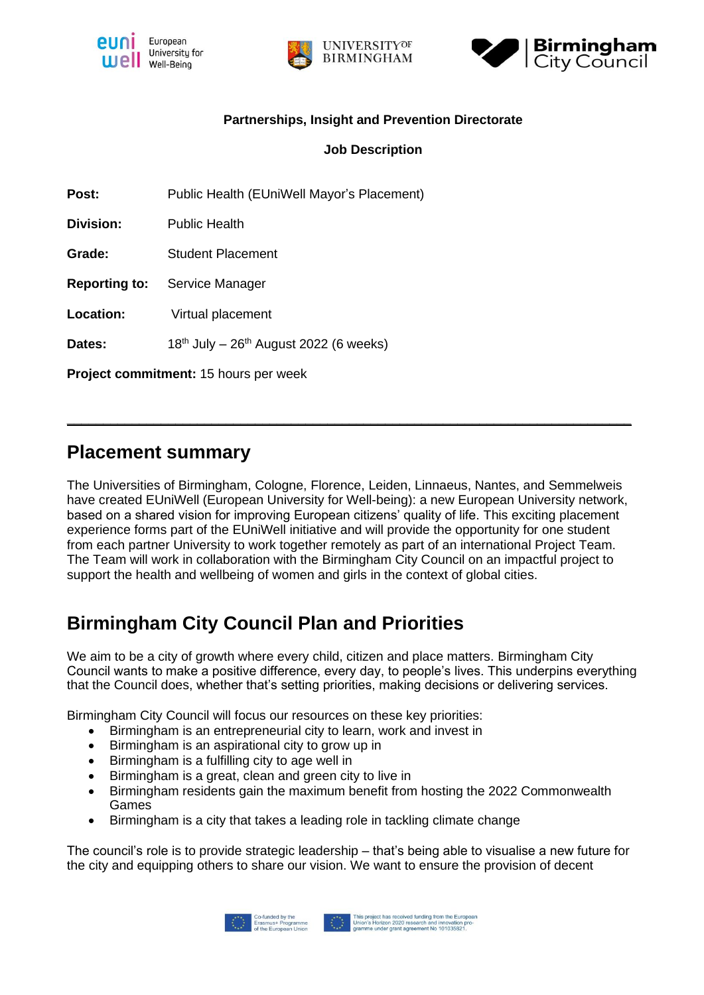





### **Partnerships, Insight and Prevention Directorate**

### **Job Description**

Post: Public Health (EUniWell Mayor's Placement)

**Division:** Public Health

**Grade:** Student Placement

**Reporting to:** Service Manager

**Location:** Virtual placement

**Dates:**  $18<sup>th</sup>$  July –  $26<sup>th</sup>$  August 2022 (6 weeks)

**Project commitment:** 15 hours per week

### **Placement summary**

The Universities of Birmingham, Cologne, Florence, Leiden, Linnaeus, Nantes, and Semmelweis have created EUniWell (European University for Well-being): a new European University network, based on a shared vision for improving European citizens' quality of life. This exciting placement experience forms part of the EUniWell initiative and will provide the opportunity for one student from each partner University to work together remotely as part of an international Project Team. The Team will work in collaboration with the Birmingham City Council on an impactful project to support the health and wellbeing of women and girls in the context of global cities.

**\_\_\_\_\_\_\_\_\_\_\_\_\_\_\_\_\_\_\_\_\_\_\_\_\_\_\_\_\_\_\_\_\_\_\_\_\_\_\_\_\_\_\_\_\_\_\_\_\_\_\_\_\_\_\_\_\_\_\_\_\_\_\_\_\_\_\_\_\_\_\_\_\_\_\_\_\_\_**

# **Birmingham City Council Plan and Priorities**

We aim to be a city of growth where every child, citizen and place matters. Birmingham City Council wants to make a positive difference, every day, to people's lives. This underpins everything that the Council does, whether that's setting priorities, making decisions or delivering services.

Birmingham City Council will focus our resources on these key priorities:

- Birmingham is an entrepreneurial city to learn, work and invest in
- Birmingham is an aspirational city to grow up in
- Birmingham is a fulfilling city to age well in
- Birmingham is a great, clean and green city to live in
- Birmingham residents gain the maximum benefit from hosting the 2022 Commonwealth Games
- Birmingham is a city that takes a leading role in tackling climate change

The council's role is to provide strategic leadership – that's being able to visualise a new future for the city and equipping others to share our vision. We want to ensure the provision of decent

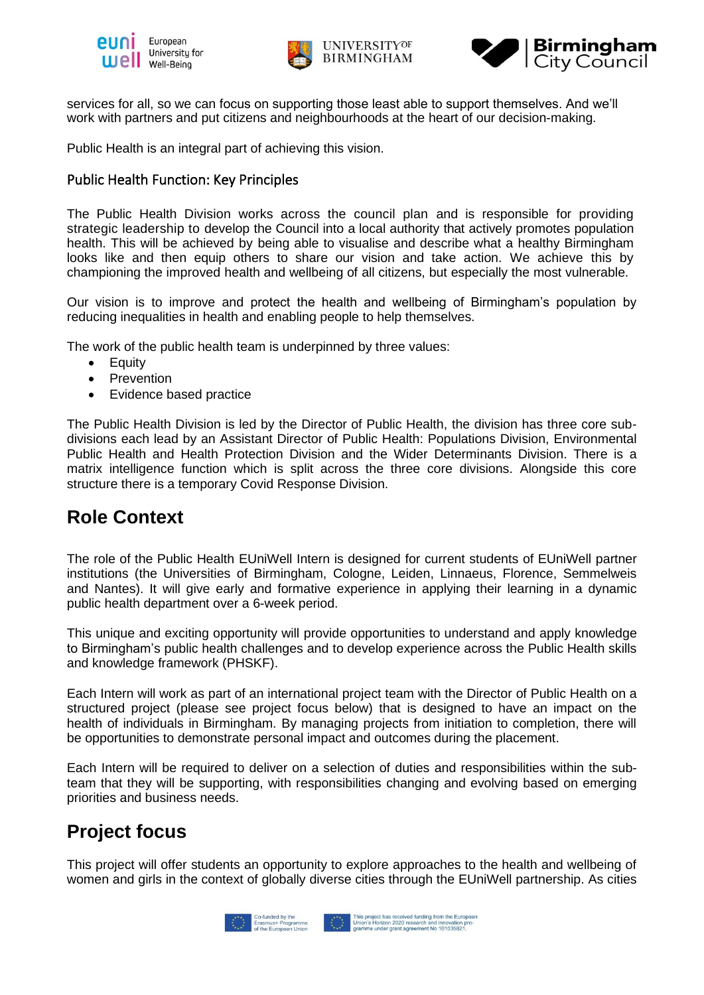





services for all, so we can focus on supporting those least able to support themselves. And we'll work with partners and put citizens and neighbourhoods at the heart of our decision-making.

Public Health is an integral part of achieving this vision.

### Public Health Function: Key Principles

The Public Health Division works across the council plan and is responsible for providing strategic leadership to develop the Council into a local authority that actively promotes population health. This will be achieved by being able to visualise and describe what a healthy Birmingham looks like and then equip others to share our vision and take action. We achieve this by championing the improved health and wellbeing of all citizens, but especially the most vulnerable.

Our vision is to improve and protect the health and wellbeing of Birmingham's population by reducing inequalities in health and enabling people to help themselves.

The work of the public health team is underpinned by three values:

- Equity
- Prevention
- Evidence based practice

The Public Health Division is led by the Director of Public Health, the division has three core subdivisions each lead by an Assistant Director of Public Health: Populations Division, Environmental Public Health and Health Protection Division and the Wider Determinants Division. There is a matrix intelligence function which is split across the three core divisions. Alongside this core structure there is a temporary Covid Response Division.

## **Role Context**

The role of the Public Health EUniWell Intern is designed for current students of EUniWell partner institutions (the Universities of Birmingham, Cologne, Leiden, Linnaeus, Florence, Semmelweis and Nantes). It will give early and formative experience in applying their learning in a dynamic public health department over a 6-week period.

This unique and exciting opportunity will provide opportunities to understand and apply knowledge to Birmingham's public health challenges and to develop experience across the Public Health skills and knowledge framework (PHSKF).

Each Intern will work as part of an international project team with the Director of Public Health on a structured project (please see project focus below) that is designed to have an impact on the health of individuals in Birmingham. By managing projects from initiation to completion, there will be opportunities to demonstrate personal impact and outcomes during the placement.

Each Intern will be required to deliver on a selection of duties and responsibilities within the subteam that they will be supporting, with responsibilities changing and evolving based on emerging priorities and business needs.

# **Project focus**

This project will offer students an opportunity to explore approaches to the health and wellbeing of women and girls in the context of globally diverse cities through the EUniWell partnership. As cities

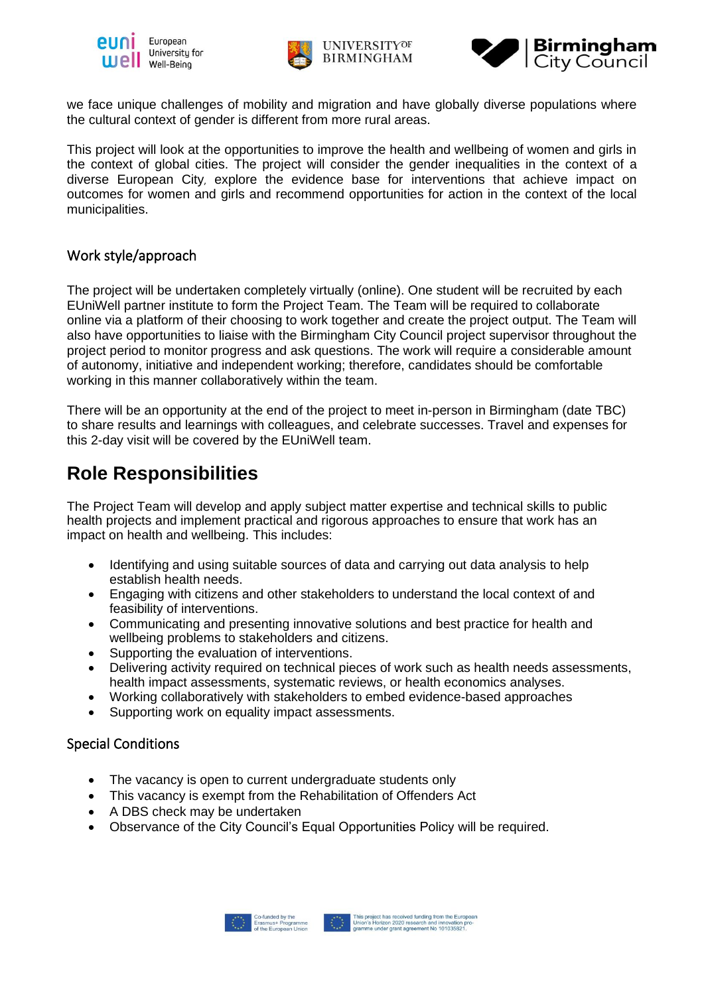





we face unique challenges of mobility and migration and have globally diverse populations where the cultural context of gender is different from more rural areas.

This project will look at the opportunities to improve the health and wellbeing of women and girls in the context of global cities. The project will consider the gender inequalities in the context of a diverse European City, explore the evidence base for interventions that achieve impact on outcomes for women and girls and recommend opportunities for action in the context of the local municipalities.

### Work style/approach

The project will be undertaken completely virtually (online). One student will be recruited by each EUniWell partner institute to form the Project Team. The Team will be required to collaborate online via a platform of their choosing to work together and create the project output. The Team will also have opportunities to liaise with the Birmingham City Council project supervisor throughout the project period to monitor progress and ask questions. The work will require a considerable amount of autonomy, initiative and independent working; therefore, candidates should be comfortable working in this manner collaboratively within the team.

There will be an opportunity at the end of the project to meet in-person in Birmingham (date TBC) to share results and learnings with colleagues, and celebrate successes. Travel and expenses for this 2-day visit will be covered by the EUniWell team.

## **Role Responsibilities**

The Project Team will develop and apply subject matter expertise and technical skills to public health projects and implement practical and rigorous approaches to ensure that work has an impact on health and wellbeing. This includes:

- Identifying and using suitable sources of data and carrying out data analysis to help establish health needs.
- Engaging with citizens and other stakeholders to understand the local context of and feasibility of interventions.
- Communicating and presenting innovative solutions and best practice for health and wellbeing problems to stakeholders and citizens.
- Supporting the evaluation of interventions.
- Delivering activity required on technical pieces of work such as health needs assessments, health impact assessments, systematic reviews, or health economics analyses.
- Working collaboratively with stakeholders to embed evidence-based approaches
- Supporting work on equality impact assessments.

### Special Conditions

- The vacancy is open to current undergraduate students only
- This vacancy is exempt from the Rehabilitation of Offenders Act
- A DBS check may be undertaken
- Observance of the City Council's Equal Opportunities Policy will be required.

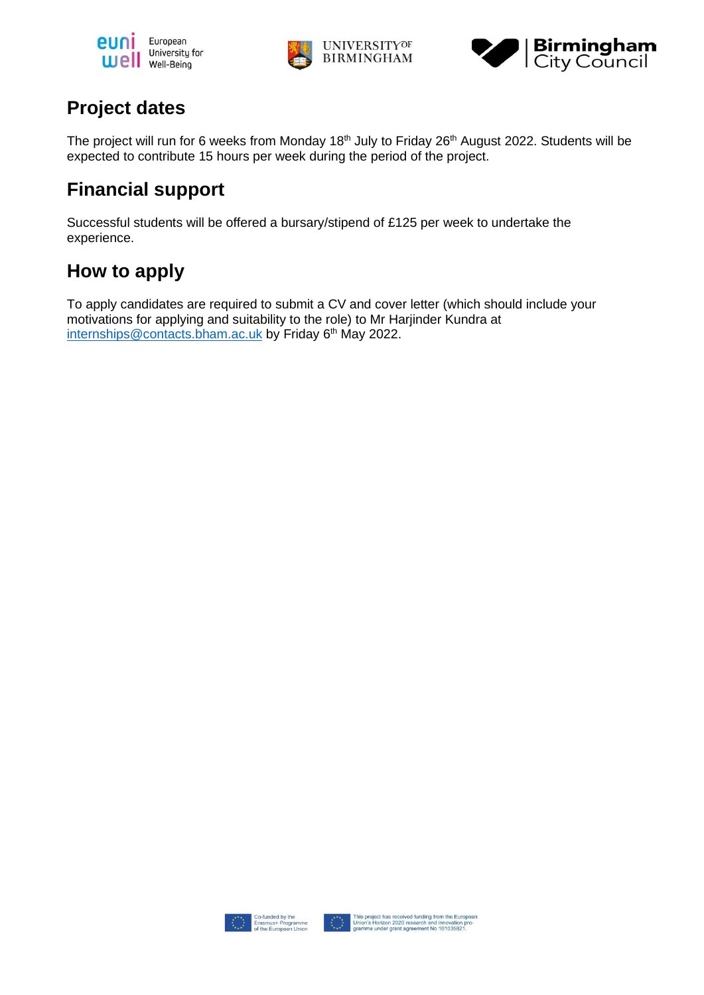





# **Project dates**

The project will run for 6 weeks from Monday 18<sup>th</sup> July to Friday 26<sup>th</sup> August 2022. Students will be expected to contribute 15 hours per week during the period of the project.

# **Financial support**

Successful students will be offered a bursary/stipend of £125 per week to undertake the experience.

# **How to apply**

To apply candidates are required to submit a CV and cover letter (which should include your motivations for applying and suitability to the role) to Mr Harjinder Kundra at [internships@contacts.bham.ac.uk](mailto:internships@contacts.bham.ac.uk) by Friday 6<sup>th</sup> May 2022.

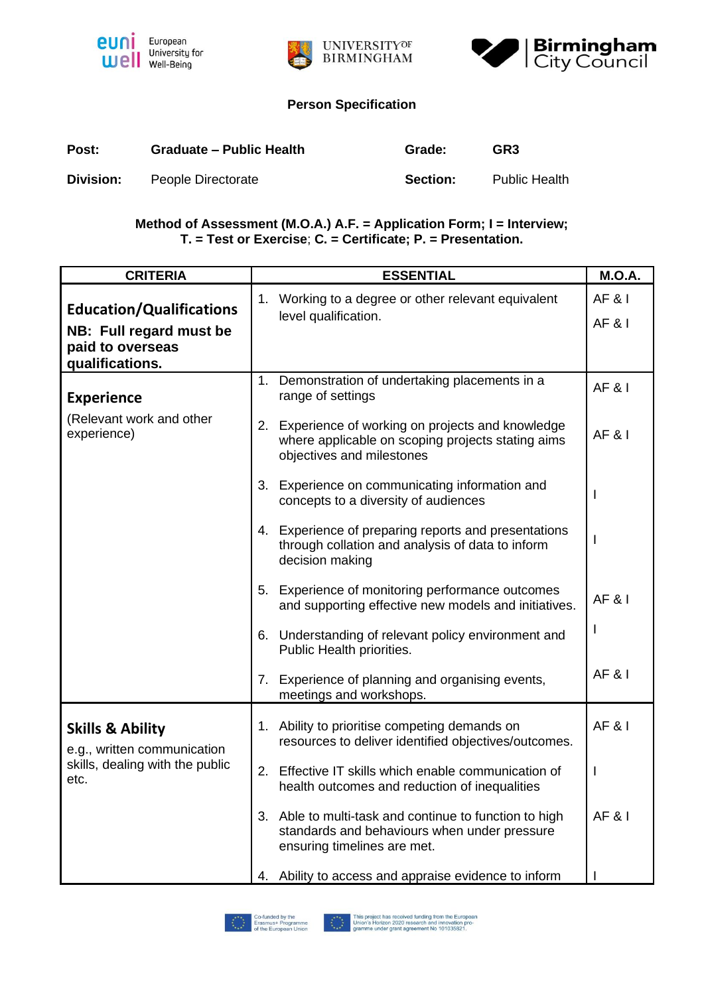





### **Person Specification**

| Post:     | <b>Graduate - Public Health</b> | Grade:   | GR <sub>3</sub>      |
|-----------|---------------------------------|----------|----------------------|
| Division: | People Directorate              | Section: | <b>Public Health</b> |

### **Method of Assessment (M.O.A.) A.F. = Application Form; I = Interview; T. = Test or Exercise**; **C. = Certificate; P. = Presentation.**

| <b>CRITERIA</b>                                                                                   | <b>ESSENTIAL</b>                                                                                                                               | <b>M.O.A.</b>                          |
|---------------------------------------------------------------------------------------------------|------------------------------------------------------------------------------------------------------------------------------------------------|----------------------------------------|
| <b>Education/Qualifications</b><br>NB: Full regard must be<br>paid to overseas<br>qualifications. | 1. Working to a degree or other relevant equivalent<br>level qualification.                                                                    | <b>AF &amp; I</b><br><b>AF &amp; I</b> |
| <b>Experience</b><br>(Relevant work and other                                                     | 1. Demonstration of undertaking placements in a<br>range of settings<br>2. Experience of working on projects and knowledge                     | <b>AF &amp; I</b>                      |
| experience)                                                                                       | where applicable on scoping projects stating aims<br>objectives and milestones                                                                 | <b>AF&amp;I</b>                        |
|                                                                                                   | 3. Experience on communicating information and<br>concepts to a diversity of audiences<br>4. Experience of preparing reports and presentations |                                        |
|                                                                                                   | through collation and analysis of data to inform<br>decision making                                                                            |                                        |
|                                                                                                   | 5. Experience of monitoring performance outcomes<br>and supporting effective new models and initiatives.                                       | <b>AF&amp;I</b>                        |
|                                                                                                   | 6. Understanding of relevant policy environment and<br>Public Health priorities.                                                               |                                        |
|                                                                                                   | Experience of planning and organising events,<br>7.<br>meetings and workshops.                                                                 | <b>AF&amp;I</b>                        |
| <b>Skills &amp; Ability</b><br>e.g., written communication                                        | 1. Ability to prioritise competing demands on<br>resources to deliver identified objectives/outcomes.                                          | <b>AF &amp; I</b>                      |
| skills, dealing with the public<br>etc.                                                           | Effective IT skills which enable communication of<br>2.<br>health outcomes and reduction of inequalities                                       |                                        |
|                                                                                                   | 3. Able to multi-task and continue to function to high<br>standards and behaviours when under pressure<br>ensuring timelines are met.          | <b>AF&amp;I</b>                        |
|                                                                                                   | 4. Ability to access and appraise evidence to inform                                                                                           |                                        |